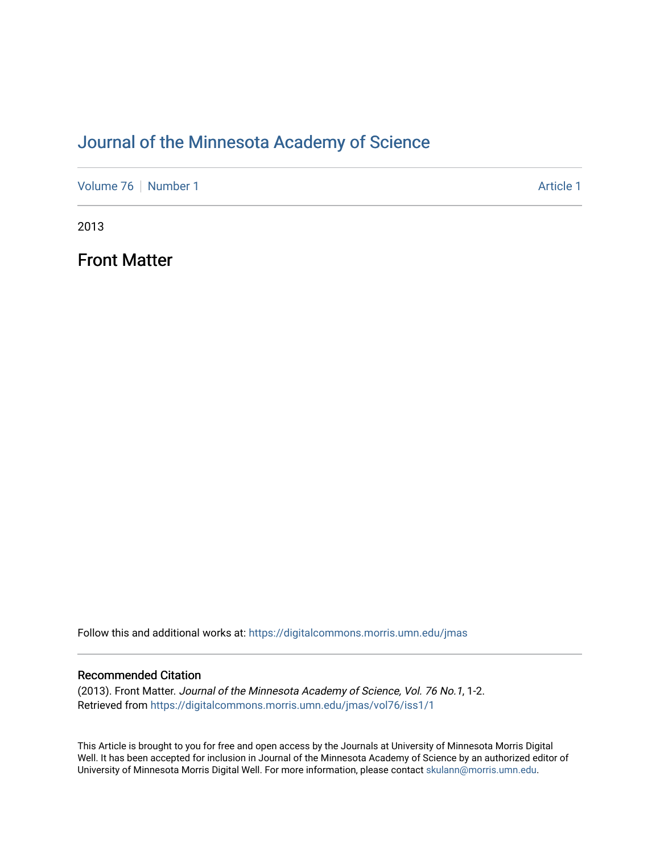# [Journal of the Minnesota Academy of Science](https://digitalcommons.morris.umn.edu/jmas)

[Volume 76](https://digitalcommons.morris.umn.edu/jmas/vol76) [Number 1](https://digitalcommons.morris.umn.edu/jmas/vol76/iss1) Article 1

2013

Front Matter

Follow this and additional works at: [https://digitalcommons.morris.umn.edu/jmas](https://digitalcommons.morris.umn.edu/jmas?utm_source=digitalcommons.morris.umn.edu%2Fjmas%2Fvol76%2Fiss1%2F1&utm_medium=PDF&utm_campaign=PDFCoverPages) 

#### Recommended Citation

(2013). Front Matter. Journal of the Minnesota Academy of Science, Vol. 76 No.1, 1-2. Retrieved from [https://digitalcommons.morris.umn.edu/jmas/vol76/iss1/1](https://digitalcommons.morris.umn.edu/jmas/vol76/iss1/1?utm_source=digitalcommons.morris.umn.edu%2Fjmas%2Fvol76%2Fiss1%2F1&utm_medium=PDF&utm_campaign=PDFCoverPages)

This Article is brought to you for free and open access by the Journals at University of Minnesota Morris Digital Well. It has been accepted for inclusion in Journal of the Minnesota Academy of Science by an authorized editor of University of Minnesota Morris Digital Well. For more information, please contact [skulann@morris.umn.edu](mailto:skulann@morris.umn.edu).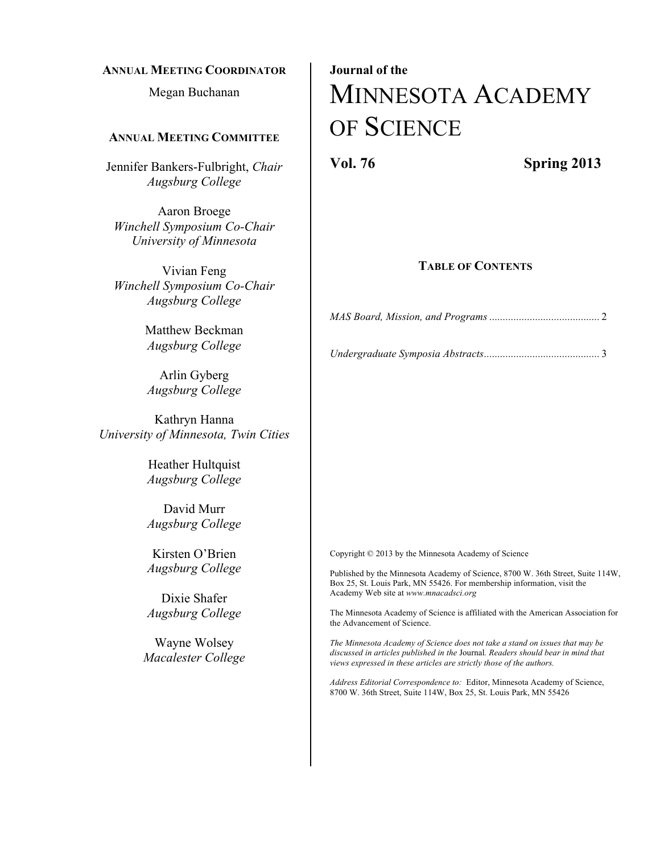#### **ANNUAL MEETING COORDINATOR**

Megan Buchanan

#### **ANNUAL MEETING COMMITTEE**

Jennifer Bankers-Fulbright, *Chair Augsburg College*

Aaron Broege *Winchell Symposium Co-Chair University of Minnesota*

Vivian Feng *Winchell Symposium Co-Chair Augsburg College*

> Matthew Beckman *Augsburg College*

Arlin Gyberg *Augsburg College*

Kathryn Hanna *University of Minnesota, Twin Cities*

> Heather Hultquist *Augsburg College*

> David Murr *Augsburg College*

> Kirsten O'Brien *Augsburg College*

> Dixie Shafer *Augsburg College*

Wayne Wolsey *Macalester College*

# **Journal of the** MINNESOTA ACADEMY OF SCIENCE

**Vol. 76 Spring 2013**

#### **TABLE OF CONTENTS**

*MAS Board, Mission, and Programs .........................................* 2

*Undergraduate Symposia Abstracts...........................................* 3

Copyright © 2013 by the Minnesota Academy of Science

Published by the Minnesota Academy of Science, 8700 W. 36th Street, Suite 114W, Box 25, St. Louis Park, MN 55426. For membership information, visit the Academy Web site at *www.mnacadsci.org*

The Minnesota Academy of Science is affiliated with the American Association for the Advancement of Science.

*The Minnesota Academy of Science does not take a stand on issues that may be discussed in articles published in the* Journal*. Readers should bear in mind that views expressed in these articles are strictly those of the authors.*

*Address Editorial Correspondence to:* Editor, Minnesota Academy of Science, 8700 W. 36th Street, Suite 114W, Box 25, St. Louis Park, MN 55426